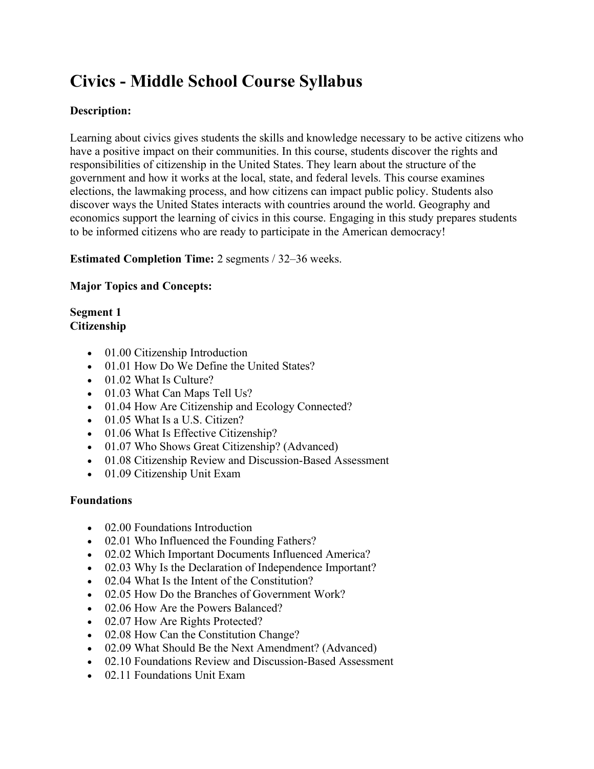# **Civics - Middle School Course Syllabus**

# **Description:**

Learning about civics gives students the skills and knowledge necessary to be active citizens who have a positive impact on their communities. In this course, students discover the rights and responsibilities of citizenship in the United States. They learn about the structure of the government and how it works at the local, state, and federal levels. This course examines elections, the lawmaking process, and how citizens can impact public policy. Students also discover ways the United States interacts with countries around the world. Geography and economics support the learning of civics in this course. Engaging in this study prepares students to be informed citizens who are ready to participate in the American democracy!

**Estimated Completion Time:** 2 segments / 32–36 weeks.

## **Major Topics and Concepts:**

### **Segment 1 Citizenship**

- 01.00 Citizenship Introduction
- 01.01 How Do We Define the United States?
- 01.02 What Is Culture?
- 01.03 What Can Maps Tell Us?
- 01.04 How Are Citizenship and Ecology Connected?
- 01.05 What Is a U.S. Citizen?
- 01.06 What Is Effective Citizenship?
- 01.07 Who Shows Great Citizenship? (Advanced)
- 01.08 Citizenship Review and Discussion-Based Assessment
- 01.09 Citizenship Unit Exam

### **Foundations**

- 02.00 Foundations Introduction
- 02.01 Who Influenced the Founding Fathers?
- 02.02 Which Important Documents Influenced America?
- 02.03 Why Is the Declaration of Independence Important?
- 02.04 What Is the Intent of the Constitution?
- 02.05 How Do the Branches of Government Work?
- 02.06 How Are the Powers Balanced?
- 02.07 How Are Rights Protected?
- 02.08 How Can the Constitution Change?
- 02.09 What Should Be the Next Amendment? (Advanced)
- 02.10 Foundations Review and Discussion-Based Assessment
- 02.11 Foundations Unit Exam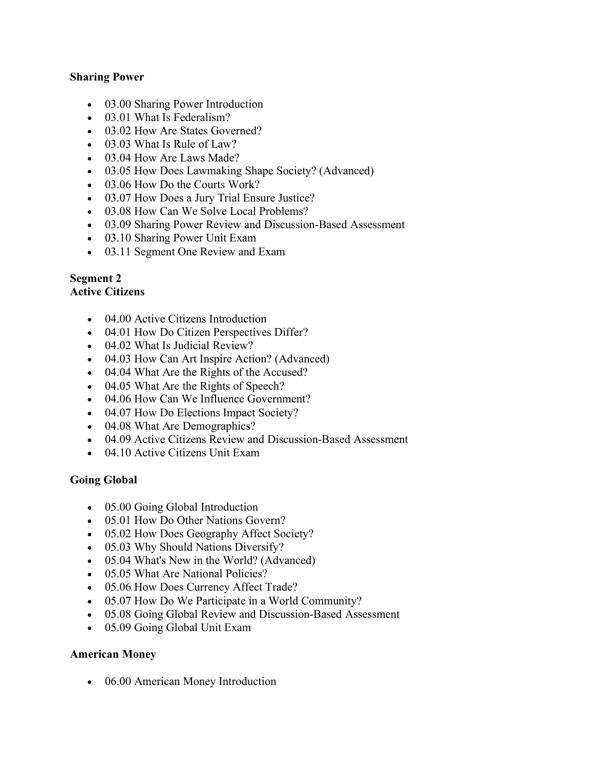### **Sharing Power**

- 03.00 Sharing Power Introduction
- 03.01 What Is Federalism?
- 03.02 How Are States Governed?
- 03.03 What Is Rule of Law?
- 03.04 How Are Laws Made?
- 03.05 How Does Lawmaking Shape Society? (Advanced)
- 03.06 How Do the Courts Work?
- 03.07 How Does a Jury Trial Ensure Justice?
- 03.08 How Can We Solve Local Problems?
- 03.09 Sharing Power Review and Discussion-Based Assessment
- 03.10 Sharing Power Unit Exam
- 03.11 Segment One Review and Exam

# **Segment 2**

# **Active Citizens**

- 04.00 Active Citizens Introduction
- 04.01 How Do Citizen Perspectives Differ?
- 04.02 What Is Judicial Review?
- 04.03 How Can Art Inspire Action? (Advanced)
- 04.04 What Are the Rights of the Accused?
- 04.05 What Are the Rights of Speech?
- 04.06 How Can We Influence Government?
- 04.07 How Do Elections Impact Society?
- 04.08 What Are Demographics?
- 04.09 Active Citizens Review and Discussion-Based Assessment
- 04.10 Active Citizens Unit Exam

### **Going Global**

- 05.00 Going Global Introduction
- 05.01 How Do Other Nations Govern?
- 05.02 How Does Geography Affect Society?
- 05.03 Why Should Nations Diversify?
- 05.04 What's New in the World? (Advanced)
- 05.05 What Are National Policies?
- 05.06 How Does Currency Affect Trade?
- 05.07 How Do We Participate in a World Community?
- 05.08 Going Global Review and Discussion-Based Assessment
- 05.09 Going Global Unit Exam

### **American Money**

• 06.00 American Money Introduction